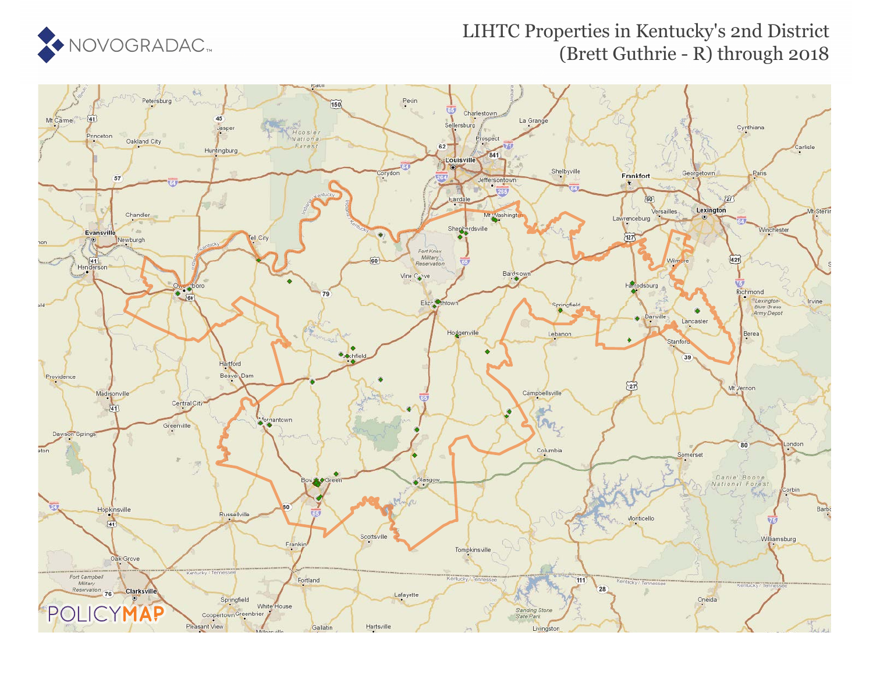

## LIHTC Properties in Kentucky's 2nd District (Brett Guthrie - R) through 2018

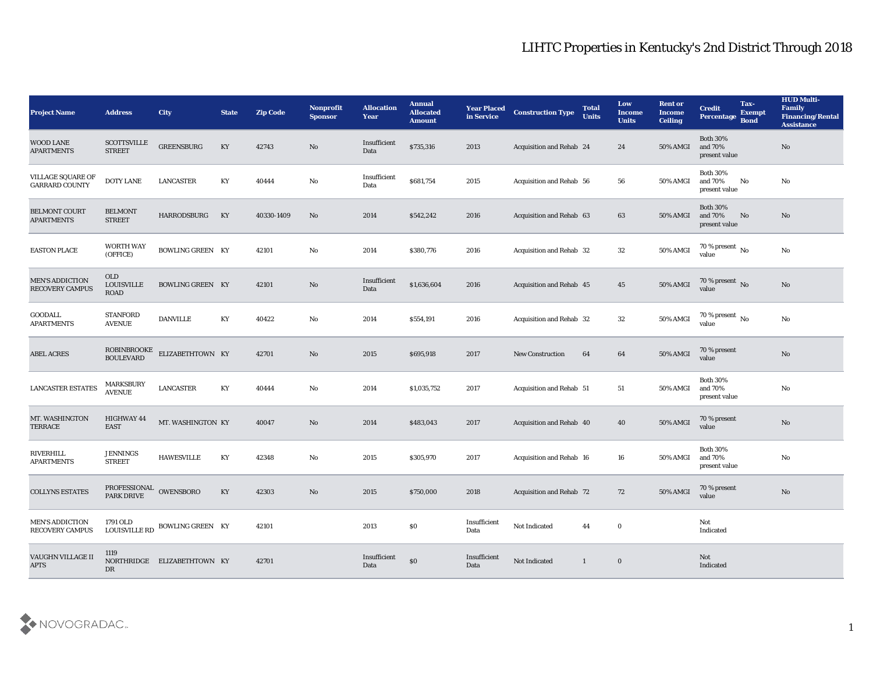| <b>Project Name</b>                              | <b>Address</b>                          | <b>City</b>                 | <b>State</b> | <b>Zip Code</b> | Nonprofit<br><b>Sponsor</b> | <b>Allocation</b><br><b>Year</b> | <b>Annual</b><br><b>Allocated</b><br><b>Amount</b> | <b>Year Placed</b><br>in Service | <b>Construction Type</b>        | <b>Total</b><br><b>Units</b> | Low<br><b>Income</b><br><b>Units</b> | <b>Rent or</b><br><b>Income</b><br><b>Ceiling</b> | <b>Credit</b><br>Percentage Bond            | Tax-<br><b>Exempt</b> | <b>HUD Multi-</b><br>Family<br><b>Financing/Rental</b><br><b>Assistance</b> |
|--------------------------------------------------|-----------------------------------------|-----------------------------|--------------|-----------------|-----------------------------|----------------------------------|----------------------------------------------------|----------------------------------|---------------------------------|------------------------------|--------------------------------------|---------------------------------------------------|---------------------------------------------|-----------------------|-----------------------------------------------------------------------------|
| <b>WOOD LANE</b><br><b>APARTMENTS</b>            | <b>SCOTTSVILLE</b><br><b>STREET</b>     | <b>GREENSBURG</b>           | KY           | 42743           | No                          | Insufficient<br>Data             | \$735,316                                          | 2013                             | <b>Acquisition and Rehab 24</b> |                              | 24                                   | 50% AMGI                                          | <b>Both 30%</b><br>and 70%<br>present value |                       | No                                                                          |
| VILLAGE SQUARE OF<br><b>GARRARD COUNTY</b>       | <b>DOTY LANE</b>                        | <b>LANCASTER</b>            | KY           | 40444           | No                          | Insufficient<br>Data             | \$681,754                                          | 2015                             | <b>Acquisition and Rehab 56</b> |                              | 56                                   | 50% AMGI                                          | <b>Both 30%</b><br>and 70%<br>present value | No                    | No                                                                          |
| <b>BELMONT COURT</b><br><b>APARTMENTS</b>        | <b>BELMONT</b><br><b>STREET</b>         | HARRODSBURG                 | KY           | 40330-1409      | No                          | 2014                             | \$542,242                                          | 2016                             | Acquisition and Rehab 63        |                              | 63                                   | <b>50% AMGI</b>                                   | <b>Both 30%</b><br>and 70%<br>present value | No                    | No                                                                          |
| <b>EASTON PLACE</b>                              | <b>WORTH WAY</b><br>(OFFICE)            | <b>BOWLING GREEN KY</b>     |              | 42101           | No                          | 2014                             | \$380,776                                          | 2016                             | Acquisition and Rehab 32        |                              | 32                                   | 50% AMGI                                          | $70\,\%$ present $\,$ No value              |                       | No                                                                          |
| <b>MEN'S ADDICTION</b><br><b>RECOVERY CAMPUS</b> | <b>OLD</b><br><b>LOUISVILLE</b><br>ROAD | <b>BOWLING GREEN KY</b>     |              | 42101           | No                          | Insufficient<br>Data             | \$1,636,604                                        | 2016                             | Acquisition and Rehab 45        |                              | 45                                   | 50% AMGI                                          | 70 % present No<br>value                    |                       | No                                                                          |
| <b>GOODALL</b><br><b>APARTMENTS</b>              | <b>STANFORD</b><br><b>AVENUE</b>        | <b>DANVILLE</b>             | KY           | 40422           | No                          | 2014                             | \$554,191                                          | 2016                             | <b>Acquisition and Rehab 32</b> |                              | 32                                   | 50% AMGI                                          | 70 % present $\,$ No $\,$<br>value          |                       | No                                                                          |
| <b>ABEL ACRES</b>                                | ROBINBROOKE<br>BOULEVARD                | ELIZABETHTOWN KY            |              | 42701           | No                          | 2015                             | \$695,918                                          | 2017                             | <b>New Construction</b>         | 64                           | 64                                   | 50% AMGI                                          | 70 % present<br>value                       |                       | $\mathbf{N}\mathbf{o}$                                                      |
| <b>LANCASTER ESTATES</b>                         | <b>MARKSBURY</b><br><b>AVENUE</b>       | <b>LANCASTER</b>            | KY           | 40444           | No                          | 2014                             | \$1,035,752                                        | 2017                             | Acquisition and Rehab 51        |                              | 51                                   | 50% AMGI                                          | <b>Both 30%</b><br>and 70%<br>present value |                       | No                                                                          |
| MT. WASHINGTON<br><b>TERRACE</b>                 | HIGHWAY 44<br><b>EAST</b>               | MT. WASHINGTON KY           |              | 40047           | No                          | 2014                             | \$483,043                                          | 2017                             | Acquisition and Rehab 40        |                              | 40                                   | 50% AMGI                                          | 70 % present<br>value                       |                       | No                                                                          |
| <b>RIVERHILL</b><br><b>APARTMENTS</b>            | <b>JENNINGS</b><br><b>STREET</b>        | <b>HAWESVILLE</b>           | KY           | 42348           | No                          | 2015                             | \$305,970                                          | 2017                             | <b>Acquisition and Rehab 16</b> |                              | 16                                   | 50% AMGI                                          | <b>Both 30%</b><br>and 70%<br>present value |                       | $\mathbf{N}\mathbf{o}$                                                      |
| <b>COLLYNS ESTATES</b>                           | PROFESSIONAL OWENSBORO<br>PARK DRIVE    |                             | KY           | 42303           | No                          | 2015                             | \$750,000                                          | 2018                             | <b>Acquisition and Rehab 72</b> |                              | 72                                   | 50% AMGI                                          | 70 % present<br>value                       |                       | No                                                                          |
| <b>MEN'S ADDICTION</b><br><b>RECOVERY CAMPUS</b> | 1791 OLD<br><b>LOUISVILLE RD</b>        | <b>BOWLING GREEN KY</b>     |              | 42101           |                             | 2013                             | $\$0$                                              | Insufficient<br>Data             | Not Indicated                   | 44                           | $\bf{0}$                             |                                                   | Not<br>Indicated                            |                       |                                                                             |
| VAUGHN VILLAGE II<br><b>APTS</b>                 | 1119<br>DR                              | NORTHRIDGE ELIZABETHTOWN KY |              | 42701           |                             | Insufficient<br>Data             | $\$0$                                              | Insufficient<br>Data             | Not Indicated                   | $\mathbf{1}$                 | $\bf{0}$                             |                                                   | Not<br>Indicated                            |                       |                                                                             |

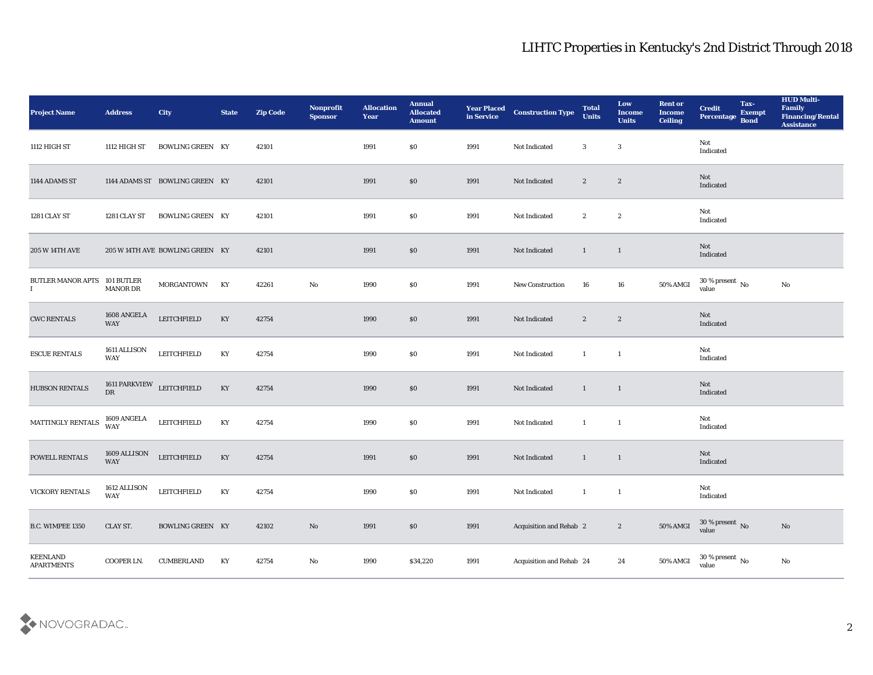| <b>Project Name</b>                         | <b>Address</b>                  | <b>City</b>                     | <b>State</b> | <b>Zip Code</b> | Nonprofit<br><b>Sponsor</b> | <b>Allocation</b><br>Year | <b>Annual</b><br><b>Allocated</b><br><b>Amount</b> | <b>Year Placed<br/>in Service</b> | <b>Construction Type</b> | <b>Total</b><br><b>Units</b> | Low<br><b>Income</b><br><b>Units</b> | <b>Rent or</b><br><b>Income</b><br><b>Ceiling</b> | <b>Credit</b><br>Percentage Bond   | Tax-<br><b>Exempt</b> | <b>HUD Multi-</b><br>Family<br><b>Financing/Rental</b><br><b>Assistance</b> |
|---------------------------------------------|---------------------------------|---------------------------------|--------------|-----------------|-----------------------------|---------------------------|----------------------------------------------------|-----------------------------------|--------------------------|------------------------------|--------------------------------------|---------------------------------------------------|------------------------------------|-----------------------|-----------------------------------------------------------------------------|
| 1112 HIGH ST                                | 1112 HIGH ST                    | <b>BOWLING GREEN KY</b>         |              | 42101           |                             | 1991                      | \$0                                                | 1991                              | Not Indicated            | 3                            | $\mathbf{3}$                         |                                                   | Not<br>Indicated                   |                       |                                                                             |
| 1144 ADAMS ST                               |                                 | 1144 ADAMS ST BOWLING GREEN KY  |              | 42101           |                             | 1991                      | \$0                                                | 1991                              | Not Indicated            | $\mathbf{2}$                 | $\boldsymbol{2}$                     |                                                   | Not<br>Indicated                   |                       |                                                                             |
| 1281 CLAY ST                                | 1281 CLAY ST                    | <b>BOWLING GREEN KY</b>         |              | 42101           |                             | 1991                      | \$0                                                | 1991                              | Not Indicated            | $\boldsymbol{2}$             | $\boldsymbol{2}$                     |                                                   | Not<br>Indicated                   |                       |                                                                             |
| <b>205 W 14TH AVE</b>                       |                                 | 205 W 14TH AVE BOWLING GREEN KY |              | 42101           |                             | 1991                      | $\$0$                                              | 1991                              | Not Indicated            | $\mathbf{1}$                 | $\overline{1}$                       |                                                   | Not<br>Indicated                   |                       |                                                                             |
| BUTLER MANOR APTS 101 BUTLER<br>$\mathbf I$ | <b>MANOR DR</b>                 | <b>MORGANTOWN</b>               | KY           | 42261           | $\mathbf{N}\mathbf{o}$      | 1990                      | \$0                                                | 1991                              | New Construction         | 16                           | 16                                   | 50% AMGI                                          | $30\,\%$ present $\,$ No value     |                       | No                                                                          |
| <b>CWC RENTALS</b>                          | 1608 ANGELA<br><b>WAY</b>       | <b>LEITCHFIELD</b>              | KY           | 42754           |                             | 1990                      | \$0                                                | 1991                              | Not Indicated            | $\mathbf{2}$                 | $\mathbf{2}$                         |                                                   | Not<br>Indicated                   |                       |                                                                             |
| <b>ESCUE RENTALS</b>                        | 1611 ALLISON<br>WAY             | ${\rm LETCHFIED}$               | KY           | 42754           |                             | 1990                      | \$0                                                | 1991                              | Not Indicated            | $\mathbf{1}$                 | $\mathbf{1}$                         |                                                   | Not<br>Indicated                   |                       |                                                                             |
| <b>HUBSON RENTALS</b>                       | 1611 PARKVIEW LEITCHFIELD<br>DR |                                 | KY           | 42754           |                             | 1990                      | $\$0$                                              | 1991                              | Not Indicated            | $\mathbf{1}$                 | $\mathbf{1}$                         |                                                   | Not<br>Indicated                   |                       |                                                                             |
| MATTINGLY RENTALS                           | 1609 ANGELA<br><b>WAY</b>       | <b>LEITCHFIELD</b>              | KY           | 42754           |                             | 1990                      | \$0                                                | 1991                              | Not Indicated            | $\mathbf{1}$                 | $\overline{1}$                       |                                                   | Not<br>Indicated                   |                       |                                                                             |
| POWELL RENTALS                              | 1609 ALLISON<br>WAY             | <b>LEITCHFIELD</b>              | KY           | 42754           |                             | 1991                      | \$0                                                | 1991                              | Not Indicated            | $\mathbf{1}$                 | $\mathbf{1}$                         |                                                   | Not<br>Indicated                   |                       |                                                                             |
| <b>VICKORY RENTALS</b>                      | 1612 ALLISON<br>WAY             | LEITCHFIELD                     | KY           | 42754           |                             | 1990                      | \$0                                                | 1991                              | Not Indicated            | $\mathbf{1}$                 | $\mathbf{1}$                         |                                                   | Not<br>Indicated                   |                       |                                                                             |
| B.C. WIMPEE 1350                            | CLAY ST.                        | <b>BOWLING GREEN KY</b>         |              | 42102           | $\rm\thinspace No$          | 1991                      | $\$0$                                              | 1991                              | Acquisition and Rehab 2  |                              | $\boldsymbol{2}$                     | 50% AMGI                                          | $30\,\%$ present $\,$ No value     |                       | $\rm\thinspace No$                                                          |
| KEENLAND<br><b>APARTMENTS</b>               | COOPER LN.                      | <b>CUMBERLAND</b>               | KY           | 42754           | $\rm\thinspace No$          | 1990                      | \$34,220                                           | 1991                              | Acquisition and Rehab 24 |                              | $\bf 24$                             | 50% AMGI                                          | 30 % present $\,$ No $\,$<br>value |                       | $\mathbf {No}$                                                              |

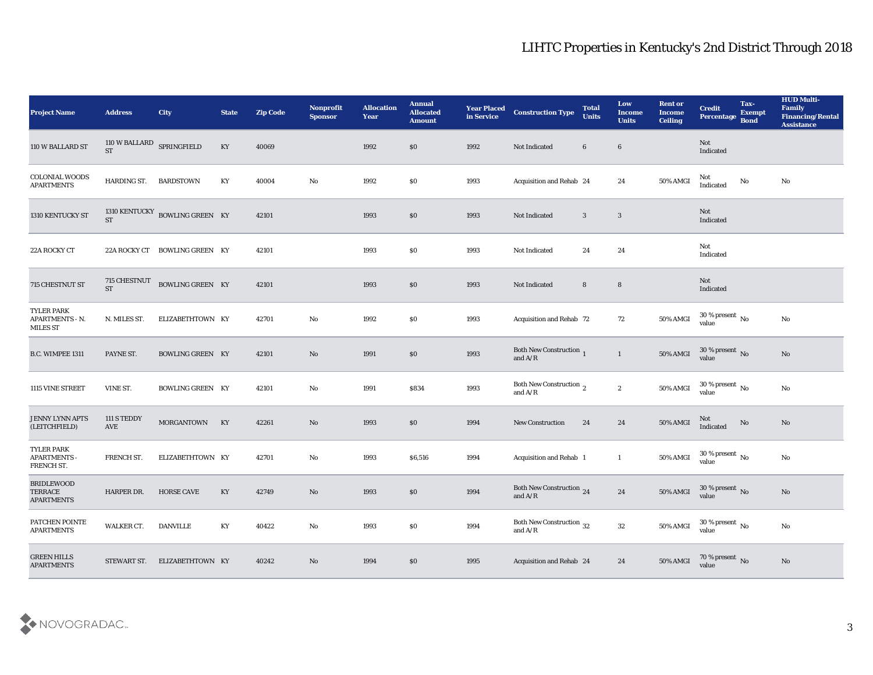| <b>Project Name</b>                                      | <b>Address</b>                         | City                           | <b>State</b>           | <b>Zip Code</b> | Nonprofit<br><b>Sponsor</b> | <b>Allocation</b><br><b>Year</b> | <b>Annual</b><br><b>Allocated</b><br><b>Amount</b> | <b>Year Placed</b><br>in Service | <b>Construction Type</b>                                                                        | <b>Total</b><br><b>Units</b> | Low<br><b>Income</b><br><b>Units</b> | <b>Rent or</b><br><b>Income</b><br><b>Ceiling</b> | <b>Credit</b><br>Percentage Bond   | Tax-<br><b>Exempt</b> | <b>HUD Multi-</b><br>Family<br><b>Financing/Rental</b><br><b>Assistance</b> |
|----------------------------------------------------------|----------------------------------------|--------------------------------|------------------------|-----------------|-----------------------------|----------------------------------|----------------------------------------------------|----------------------------------|-------------------------------------------------------------------------------------------------|------------------------------|--------------------------------------|---------------------------------------------------|------------------------------------|-----------------------|-----------------------------------------------------------------------------|
| 110 W BALLARD ST                                         | 110 W BALLARD SPRINGFIELD<br><b>ST</b> |                                | $\mathbf{K}\mathbf{Y}$ | 40069           |                             | 1992                             | $\$0$                                              | 1992                             | Not Indicated                                                                                   | $6\phantom{.0}$              | $6\phantom{1}6$                      |                                                   | Not<br>Indicated                   |                       |                                                                             |
| <b>COLONIAL WOODS</b><br><b>APARTMENTS</b>               | HARDING ST.                            | <b>BARDSTOWN</b>               | KY                     | 40004           | No                          | 1992                             | $\$0$                                              | 1993                             | Acquisition and Rehab 24                                                                        |                              | 24                                   | 50% AMGI                                          | Not<br>Indicated                   | No                    | No                                                                          |
| 1310 KENTUCKY ST                                         | <b>ST</b>                              | 1310 KENTUCKY BOWLING GREEN KY |                        | 42101           |                             | 1993                             | \$0                                                | 1993                             | Not Indicated                                                                                   | $\mathbf{3}$                 | $\mathbf{3}$                         |                                                   | Not<br>Indicated                   |                       |                                                                             |
| 22A ROCKY CT                                             | 22A ROCKY CT                           | <b>BOWLING GREEN KY</b>        |                        | 42101           |                             | 1993                             | \$0                                                | 1993                             | Not Indicated                                                                                   | 24                           | 24                                   |                                                   | Not<br>Indicated                   |                       |                                                                             |
| 715 CHESTNUT ST                                          | 715 CHESTNUT<br><b>ST</b>              | BOWLING GREEN KY               |                        | 42101           |                             | 1993                             | \$0                                                | 1993                             | Not Indicated                                                                                   | 8                            | $\bf8$                               |                                                   | Not<br>Indicated                   |                       |                                                                             |
| <b>TYLER PARK</b><br>APARTMENTS - N.<br>MILES ST         | N. MILES ST.                           | ELIZABETHTOWN KY               |                        | 42701           | No                          | 1992                             | \$0                                                | 1993                             | Acquisition and Rehab 72                                                                        |                              | 72                                   | 50% AMGI                                          | $30\,\%$ present $\,$ No value     |                       | No                                                                          |
| B.C. WIMPEE 1311                                         | PAYNE ST.                              | <b>BOWLING GREEN KY</b>        |                        | 42101           | No                          | 1991                             | \$0                                                | 1993                             | Both New Construction 1<br>and $A/R$                                                            |                              | $\mathbf{1}$                         | 50% AMGI                                          | $30\,\%$ present $\,$ No value     |                       | $\mathbf{N}\mathbf{o}$                                                      |
| 1115 VINE STREET                                         | VINE ST.                               | <b>BOWLING GREEN KY</b>        |                        | 42101           | No                          | 1991                             | \$834                                              | 1993                             | Both New Construction $\frac{1}{2}$<br>and $A/R$                                                |                              | $\boldsymbol{2}$                     | 50% AMGI                                          | 30 % present $\,$ No $\,$<br>value |                       | $\mathbf{N}\mathbf{o}$                                                      |
| <b>JENNY LYNN APTS</b><br>(LEITCHFIELD)                  | 111 S TEDDY<br>AVE                     | MORGANTOWN KY                  |                        | 42261           | No                          | 1993                             | \$0\$                                              | 1994                             | <b>New Construction</b>                                                                         | 24                           | 24                                   | <b>50% AMGI</b>                                   | Not<br>Indicated                   | $\rm \bf No$          | $\mathbf{N}\mathbf{o}$                                                      |
| TYLER PARK<br><b>APARTMENTS -</b><br>FRENCH ST.          | FRENCH ST.                             | ELIZABETHTOWN KY               |                        | 42701           | No                          | 1993                             | \$6,516                                            | 1994                             | <b>Acquisition and Rehab 1</b>                                                                  |                              | $\mathbf{1}$                         | 50% AMGI                                          | 30 % present $\,$ No $\,$<br>value |                       | $\mathbf{N}\mathbf{o}$                                                      |
| <b>BRIDLEWOOD</b><br><b>TERRACE</b><br><b>APARTMENTS</b> | HARPER DR.                             | <b>HORSE CAVE</b>              | KY                     | 42749           | No                          | 1993                             | $\$0$                                              | 1994                             | Both New Construction 24<br>and $\ensuremath{\mathrm{A}}\xspace/\ensuremath{\mathrm{R}}\xspace$ |                              | 24                                   | 50% AMGI                                          | 30 % present No<br>value           |                       | No                                                                          |
| PATCHEN POINTE<br><b>APARTMENTS</b>                      | WALKER CT.                             | <b>DANVILLE</b>                | KY                     | 40422           | $\rm No$                    | 1993                             | $\$0$                                              | 1994                             | Both New Construction 32<br>and $\ensuremath{\mathrm{A}}\xspace/\ensuremath{\mathrm{R}}\xspace$ |                              | $32\,$                               | 50% AMGI                                          | $30\,\%$ present $\,$ No value     |                       | ${\bf No}$                                                                  |
| <b>GREEN HILLS</b><br><b>APARTMENTS</b>                  | STEWART ST.                            | ELIZABETHTOWN KY               |                        | 40242           | $\rm No$                    | 1994                             | \$0                                                | 1995                             | Acquisition and Rehab 24                                                                        |                              | 24                                   | 50% AMGI                                          | $70\,\%$ present $\,$ No value     |                       | $\mathbf{N}\mathbf{o}$                                                      |

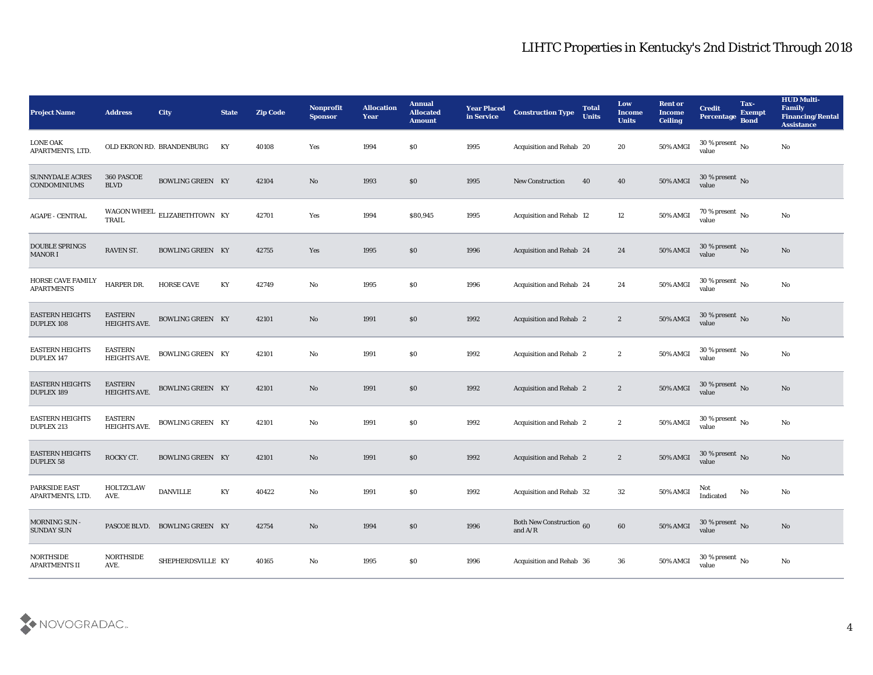| <b>Project Name</b>                           | <b>Address</b>                        | <b>City</b>                   | <b>State</b> | <b>Zip Code</b> | <b>Nonprofit</b><br><b>Sponsor</b> | <b>Allocation</b><br><b>Year</b> | <b>Annual</b><br><b>Allocated</b><br><b>Amount</b> | <b>Year Placed</b><br>in Service | <b>Construction Type</b>                         | <b>Total</b><br><b>Units</b> | Low<br><b>Income</b><br><b>Units</b> | <b>Rent or</b><br><b>Income</b><br><b>Ceiling</b> | <b>Credit</b><br>Percentage          | Tax-<br><b>Exempt</b><br><b>Bond</b> | <b>HUD Multi-</b><br>Family<br><b>Financing/Rental</b><br><b>Assistance</b> |
|-----------------------------------------------|---------------------------------------|-------------------------------|--------------|-----------------|------------------------------------|----------------------------------|----------------------------------------------------|----------------------------------|--------------------------------------------------|------------------------------|--------------------------------------|---------------------------------------------------|--------------------------------------|--------------------------------------|-----------------------------------------------------------------------------|
| <b>LONE OAK</b><br>APARTMENTS, LTD.           |                                       | OLD EKRON RD. BRANDENBURG     | KY           | 40108           | Yes                                | 1994                             | SO.                                                | 1995                             | Acquisition and Rehab 20                         |                              | 20                                   | 50% AMGI                                          | 30 % present $\,$ No $\,$<br>value   |                                      | No                                                                          |
| <b>SUNNYDALE ACRES</b><br><b>CONDOMINIUMS</b> | 360 PASCOE<br><b>BLVD</b>             | <b>BOWLING GREEN KY</b>       |              | 42104           | No                                 | 1993                             | \$0                                                | 1995                             | <b>New Construction</b>                          | 40                           | 40                                   | 50% AMGI                                          | $30$ % present $\,$ No $\,$<br>value |                                      |                                                                             |
| <b>AGAPE - CENTRAL</b>                        | TRAIL                                 | WAGON WHEEL ELIZABETHTOWN KY  |              | 42701           | Yes                                | 1994                             | \$80,945                                           | 1995                             | Acquisition and Rehab 12                         |                              | 12                                   | 50% AMGI                                          | 70 % present $\,$ No $\,$<br>value   |                                      | No                                                                          |
| <b>DOUBLE SPRINGS</b><br><b>MANOR I</b>       | RAVEN ST.                             | <b>BOWLING GREEN KY</b>       |              | 42755           | Yes                                | 1995                             | \$0                                                | 1996                             | Acquisition and Rehab 24                         |                              | 24                                   | 50% AMGI                                          | $30\,\%$ present $\,$ No value       |                                      | No                                                                          |
| <b>HORSE CAVE FAMILY</b><br><b>APARTMENTS</b> | HARPER DR.                            | <b>HORSE CAVE</b>             | KY           | 42749           | No                                 | 1995                             | \$0                                                | 1996                             | Acquisition and Rehab 24                         |                              | 24                                   | 50% AMGI                                          | $30$ % present $\,$ No $\,$<br>value |                                      | No                                                                          |
| <b>EASTERN HEIGHTS</b><br><b>DUPLEX 108</b>   | <b>EASTERN</b><br>HEIGHTS AVE.        | <b>BOWLING GREEN KY</b>       |              | 42101           | No                                 | 1991                             | \$0                                                | 1992                             | <b>Acquisition and Rehab 2</b>                   |                              | $\boldsymbol{2}$                     | 50% AMGI                                          | $30\,\%$ present $\,$ No value       |                                      | No                                                                          |
| <b>EASTERN HEIGHTS</b><br><b>DUPLEX 147</b>   | <b>EASTERN</b><br>HEIGHTS AVE.        | <b>BOWLING GREEN KY</b>       |              | 42101           | No                                 | 1991                             | \$0                                                | 1992                             | <b>Acquisition and Rehab 2</b>                   |                              | $\boldsymbol{2}$                     | 50% AMGI                                          | $30$ % present $\,$ No $\,$<br>value |                                      | No                                                                          |
| <b>EASTERN HEIGHTS</b><br><b>DUPLEX 189</b>   | <b>EASTERN</b><br><b>HEIGHTS AVE.</b> | BOWLING GREEN KY              |              | 42101           | No                                 | 1991                             | \$0                                                | 1992                             | <b>Acquisition and Rehab 2</b>                   |                              | $\boldsymbol{2}$                     | 50% AMGI                                          | 30 % present $\,$ No $\,$<br>value   |                                      | No                                                                          |
| <b>EASTERN HEIGHTS</b><br><b>DUPLEX 213</b>   | <b>EASTERN</b><br><b>HEIGHTS AVE.</b> | <b>BOWLING GREEN KY</b>       |              | 42101           | No                                 | 1991                             | \$0                                                | 1992                             | <b>Acquisition and Rehab 2</b>                   |                              | $\boldsymbol{2}$                     | 50% AMGI                                          | 30 % present $\,$ No $\,$<br>value   |                                      | No                                                                          |
| <b>EASTERN HEIGHTS</b><br><b>DUPLEX 58</b>    | ROCKY CT.                             | <b>BOWLING GREEN KY</b>       |              | 42101           | No                                 | 1991                             | \$0                                                | 1992                             | <b>Acquisition and Rehab 2</b>                   |                              | $\boldsymbol{2}$                     | <b>50% AMGI</b>                                   | $30\,\%$ present $\,$ No value       |                                      | No                                                                          |
| <b>PARKSIDE EAST</b><br>APARTMENTS, LTD.      | HOLTZCLAW<br>AVE.                     | <b>DANVILLE</b>               | KY           | 40422           | No                                 | 1991                             | \$0                                                | 1992                             | Acquisition and Rehab 32                         |                              | 32                                   | 50% AMGI                                          | Not<br>Indicated                     | No                                   | No                                                                          |
| MORNING SUN -<br><b>SUNDAY SUN</b>            |                                       | PASCOE BLVD. BOWLING GREEN KY |              | 42754           | $\rm\thinspace No$                 | 1994                             | \$0                                                | 1996                             | <b>Both New Construction 60</b><br>and $\rm A/R$ |                              | $\bf 60$                             | 50% AMGI                                          | $30\,\%$ present $\,$ No value       |                                      | No                                                                          |
| NORTHSIDE<br>APARTMENTS II                    | NORTHSIDE<br>AVE.                     | SHEPHERDSVILLE KY             |              | 40165           | $\rm\thinspace No$                 | 1995                             | $\$0$                                              | 1996                             | Acquisition and Rehab 36                         |                              | ${\bf 36}$                           | 50% AMGI                                          | 30 % present $\,$ No $\,$<br>value   |                                      | $\mathbf{N}\mathbf{o}$                                                      |

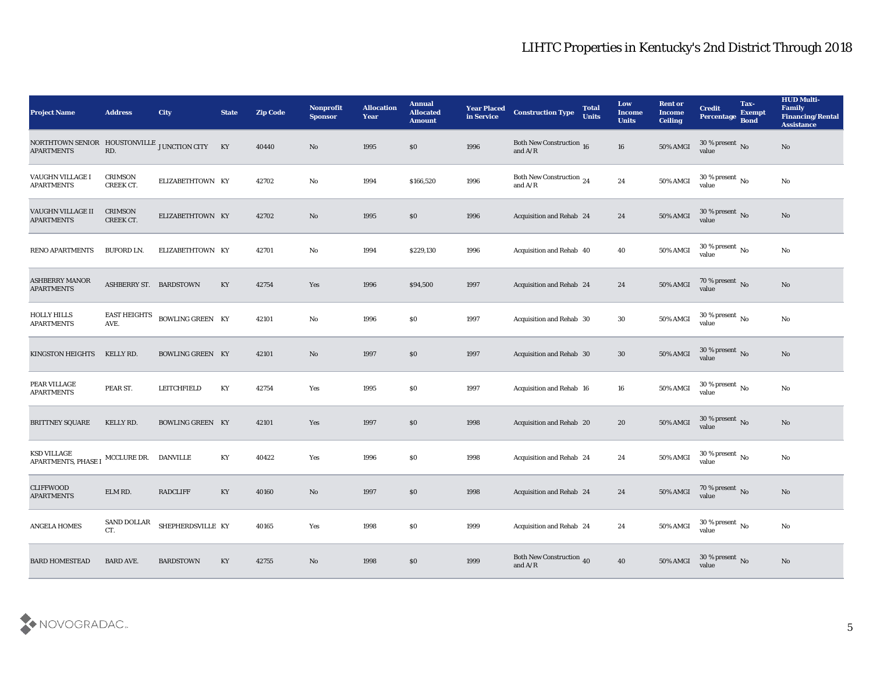| <b>Project Name</b>                                                                                                                                          | <b>Address</b>              | <b>City</b>             | <b>State</b>           | <b>Zip Code</b> | <b>Nonprofit</b><br><b>Sponsor</b> | <b>Allocation</b><br><b>Year</b> | <b>Annual</b><br><b>Allocated</b><br><b>Amount</b> | <b>Year Placed</b><br>in Service | <b>Construction Type</b>                                                                        | <b>Total</b><br><b>Units</b> | Low<br><b>Income</b><br><b>Units</b> | <b>Rent or</b><br><b>Income</b><br><b>Ceiling</b> | <b>Credit</b><br>Percentage Bond     | Tax-<br><b>Exempt</b> | <b>HUD Multi-</b><br>Family<br><b>Financing/Rental</b><br><b>Assistance</b> |
|--------------------------------------------------------------------------------------------------------------------------------------------------------------|-----------------------------|-------------------------|------------------------|-----------------|------------------------------------|----------------------------------|----------------------------------------------------|----------------------------------|-------------------------------------------------------------------------------------------------|------------------------------|--------------------------------------|---------------------------------------------------|--------------------------------------|-----------------------|-----------------------------------------------------------------------------|
| NORTHTOWN SENIOR HOUSTONVILLE JUNCTION CITY KY<br><b>APARTMENTS</b>                                                                                          | RD.                         |                         |                        | 40440           | No                                 | 1995                             | \$0                                                | 1996                             | <b>Both New Construction 16</b><br>and $A/R$                                                    |                              | 16                                   | 50% AMGI                                          | $30\%$ present No<br>value           |                       | No                                                                          |
| VAUGHN VILLAGE I<br><b>APARTMENTS</b>                                                                                                                        | CRIMSON<br>CREEK CT.        | ELIZABETHTOWN KY        |                        | 42702           | No                                 | 1994                             | \$166,520                                          | 1996                             | Both New Construction 24<br>and $A/R$                                                           |                              | 24                                   | 50% AMGI                                          | 30 % present $\,$ No $\,$<br>value   |                       | No                                                                          |
| VAUGHN VILLAGE II<br><b>APARTMENTS</b>                                                                                                                       | <b>CRIMSON</b><br>CREEK CT. | ELIZABETHTOWN KY        |                        | 42702           | No                                 | 1995                             | \$0                                                | 1996                             | <b>Acquisition and Rehab 24</b>                                                                 |                              | 24                                   | 50% AMGI                                          | $30\,\%$ present $\,$ No value       |                       | No                                                                          |
| <b>RENO APARTMENTS</b>                                                                                                                                       | <b>BUFORD LN.</b>           | ELIZABETHTOWN KY        |                        | 42701           | No                                 | 1994                             | \$229,130                                          | 1996                             | Acquisition and Rehab 40                                                                        |                              | 40                                   | 50% AMGI                                          | $30\,\%$ present $\,$ No value       |                       | $\mathbf{N}\mathbf{o}$                                                      |
| <b>ASHBERRY MANOR</b><br><b>APARTMENTS</b>                                                                                                                   | ASHBERRY ST. BARDSTOWN      |                         | KY                     | 42754           | Yes                                | 1996                             | \$94,500                                           | 1997                             | <b>Acquisition and Rehab 24</b>                                                                 |                              | 24                                   | 50% AMGI                                          | $70\,\%$ present $\,$ No value       |                       | No                                                                          |
| <b>HOLLY HILLS</b><br><b>APARTMENTS</b>                                                                                                                      | <b>EAST HEIGHTS</b><br>AVE. | <b>BOWLING GREEN KY</b> |                        | 42101           | No                                 | 1996                             | \$0                                                | 1997                             | Acquisition and Rehab 30                                                                        |                              | 30                                   | 50% AMGI                                          | $30$ % present $\,$ No $\,$<br>value |                       | $\mathbf{N}\mathbf{o}$                                                      |
| <b>KINGSTON HEIGHTS</b>                                                                                                                                      | KELLY RD.                   | <b>BOWLING GREEN KY</b> |                        | 42101           | No                                 | 1997                             | $\$0$                                              | 1997                             | Acquisition and Rehab 30                                                                        |                              | 30                                   | 50% AMGI                                          | $30\,\%$ present $\,$ No value       |                       | No                                                                          |
| PEAR VILLAGE<br>APARTMENTS                                                                                                                                   | PEAR ST.                    | LEITCHFIELD             | KY                     | 42754           | Yes                                | 1995                             | \$0                                                | 1997                             | <b>Acquisition and Rehab 16</b>                                                                 |                              | 16                                   | 50% AMGI                                          | 30 % present $\,$ No $\,$<br>value   |                       | $\mathbf{N}\mathbf{o}$                                                      |
| <b>BRITTNEY SQUARE</b>                                                                                                                                       | KELLY RD.                   | <b>BOWLING GREEN KY</b> |                        | 42101           | Yes                                | 1997                             | \$0                                                | 1998                             | Acquisition and Rehab 20                                                                        |                              | 20                                   | 50% AMGI                                          | $30\,\%$ present $\,$ No value       |                       | $\mathbf{N}\mathbf{o}$                                                      |
| ${\small \underline{\sf APARTMENTS}}, {\small \underline{\sf PHASE\,I}} \quad {\small \underline{\sf MCCLURE\,DR}}. \quad {\small \underline{\sf DANVILLE}}$ |                             |                         | KY                     | 40422           | Yes                                | 1996                             | \$0                                                | 1998                             | <b>Acquisition and Rehab 24</b>                                                                 |                              | 24                                   | 50% AMGI                                          | 30 % present $\,$ No $\,$<br>value   |                       | No                                                                          |
| <b>CLIFFWOOD</b><br><b>APARTMENTS</b>                                                                                                                        | ELM RD.                     | <b>RADCLIFF</b>         | KY                     | 40160           | No                                 | 1997                             | $\$0$                                              | 1998                             | <b>Acquisition and Rehab 24</b>                                                                 |                              | 24                                   | 50% AMGI                                          | $70\,\%$ present $\,$ No value       |                       | No                                                                          |
| ANGELA HOMES                                                                                                                                                 | SAND DOLLAR<br>CT.          | SHEPHERDSVILLE KY       |                        | 40165           | Yes                                | 1998                             | $\$0$                                              | 1999                             | Acquisition and Rehab 24                                                                        |                              | 24                                   | 50% AMGI                                          | $30\,\%$ present $\,$ No value       |                       | $\mathbf {No}$                                                              |
| <b>BARD HOMESTEAD</b>                                                                                                                                        | <b>BARD AVE.</b>            | <b>BARDSTOWN</b>        | $\mathbf{K}\mathbf{Y}$ | 42755           | $\rm \bf No$                       | 1998                             | $\$0$                                              | 1999                             | Both New Construction 40<br>and $\ensuremath{\mathrm{A}}\xspace/\ensuremath{\mathrm{R}}\xspace$ |                              | ${\bf 40}$                           | <b>50% AMGI</b>                                   | 30 % present $\,$ No $\,$<br>value   |                       | $\rm \bf No$                                                                |

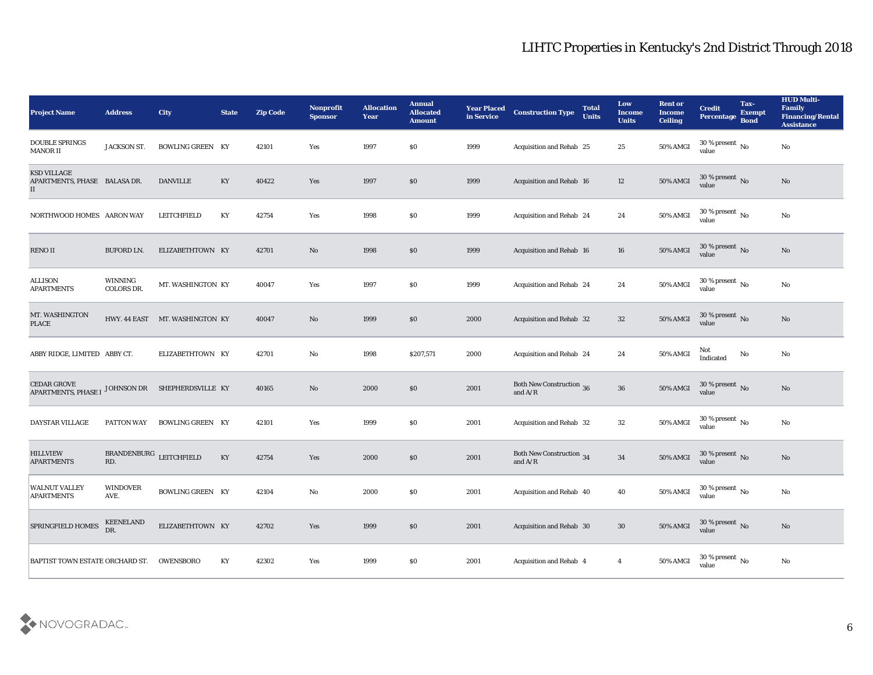| <b>Project Name</b>                                            | <b>Address</b>                 | <b>City</b>                    | <b>State</b> | <b>Zip Code</b> | Nonprofit<br><b>Sponsor</b>   | <b>Allocation</b><br><b>Year</b> | <b>Annual</b><br><b>Allocated</b><br><b>Amount</b> | <b>Year Placed</b><br>in Service | <b>Construction Type</b>                     | <b>Total</b><br><b>Units</b> | Low<br><b>Income</b><br><b>Units</b> | <b>Rent or</b><br><b>Income</b><br><b>Ceiling</b> | <b>Credit</b><br>Percentage Bond       | Tax-<br><b>Exempt</b> | <b>HUD Multi-</b><br>Family<br><b>Financing/Rental</b><br><b>Assistance</b> |
|----------------------------------------------------------------|--------------------------------|--------------------------------|--------------|-----------------|-------------------------------|----------------------------------|----------------------------------------------------|----------------------------------|----------------------------------------------|------------------------------|--------------------------------------|---------------------------------------------------|----------------------------------------|-----------------------|-----------------------------------------------------------------------------|
| <b>DOUBLE SPRINGS</b><br>MANOR II                              | <b>JACKSON ST.</b>             | <b>BOWLING GREEN KY</b>        |              | 42101           | Yes                           | 1997                             | \$0                                                | 1999                             | Acquisition and Rehab 25                     |                              | 25                                   | 50% AMGI                                          | $30\,\%$ present $\,$ No $\,$<br>value |                       | No                                                                          |
| <b>KSD VILLAGE</b><br>APARTMENTS, PHASE BALASA DR.<br>$\rm II$ |                                | <b>DANVILLE</b>                | KY           | 40422           | Yes                           | 1997                             | $\$0$                                              | 1999                             | <b>Acquisition and Rehab 16</b>              |                              | 12                                   | 50% AMGI                                          | 30 % present $\,$ No $\,$<br>value     |                       | No                                                                          |
| NORTHWOOD HOMES AARON WAY                                      |                                | LEITCHFIELD                    | KY           | 42754           | Yes                           | 1998                             | \$0                                                | 1999                             | <b>Acquisition and Rehab 24</b>              |                              | 24                                   | 50% AMGI                                          | 30 % present $\,$ No $\,$<br>value     |                       | No                                                                          |
| RENO II                                                        | <b>BUFORD LN.</b>              | ELIZABETHTOWN KY               |              | 42701           | No                            | 1998                             | \$0                                                | 1999                             | Acquisition and Rehab 16                     |                              | 16                                   | 50% AMGI                                          | $30\,\%$ present $_{\rm{No}}$          |                       | No                                                                          |
| ALLISON<br>APARTMENTS                                          | WINNING<br><b>COLORS DR.</b>   | MT. WASHINGTON KY              |              | 40047           | Yes                           | 1997                             | \$0                                                | 1999                             | <b>Acquisition and Rehab 24</b>              |                              | 24                                   | 50% AMGI                                          | $30\,\%$ present $\,$ No $\,$<br>value |                       | No                                                                          |
| MT. WASHINGTON<br><b>PLACE</b>                                 |                                | HWY. 44 EAST MT. WASHINGTON KY |              | 40047           | No                            | 1999                             | $\$0$                                              | 2000                             | Acquisition and Rehab 32                     |                              | 32                                   | 50% AMGI                                          | 30 % present No<br>value               |                       | No                                                                          |
| ABBY RIDGE, LIMITED ABBY CT.                                   |                                | ELIZABETHTOWN KY               |              | 42701           | No                            | 1998                             | \$207,571                                          | 2000                             | <b>Acquisition and Rehab 24</b>              |                              | 24                                   | 50% AMGI                                          | Not<br>Indicated                       | No                    | No                                                                          |
| CEDAR GROVE<br><b>APARTMENTS, PHASE I</b>                      |                                | JOHNSON DR SHEPHERDSVILLE KY   |              | 40165           | No                            | 2000                             | \$0                                                | 2001                             | <b>Both New Construction 36</b><br>and $A/R$ |                              | 36                                   | <b>50% AMGI</b>                                   | 30 % present $\bar{N}$ o<br>value      |                       | No                                                                          |
| DAYSTAR VILLAGE                                                | PATTON WAY                     | <b>BOWLING GREEN KY</b>        |              | 42101           | Yes                           | 1999                             | \$0                                                | 2001                             | Acquisition and Rehab 32                     |                              | 32                                   | 50% AMGI                                          | 30 % present $\,$ No $\,$<br>value     |                       | No                                                                          |
| <b>HILLVIEW</b><br><b>APARTMENTS</b>                           | BRANDENBURG LEITCHFIELD<br>RD. |                                | KY           | 42754           | Yes                           | 2000                             | $\$0$                                              | 2001                             | Both New Construction 34<br>and $A/R$        |                              | 34                                   | 50% AMGI                                          | $30\,\%$ present $\,$ No value         |                       | No                                                                          |
| WALNUT VALLEY<br><b>APARTMENTS</b>                             | <b>WINDOVER</b><br>AVE.        | <b>BOWLING GREEN KY</b>        |              | 42104           | No                            | 2000                             | \$0                                                | 2001                             | Acquisition and Rehab 40                     |                              | 40                                   | 50% AMGI                                          | 30 % present $\,$ No $\,$<br>value     |                       | No                                                                          |
| SPRINGFIELD HOMES                                              | KEENELAND<br>DR.               | ELIZABETHTOWN KY               |              | 42702           | Yes                           | 1999                             | $\$0$                                              | 2001                             | Acquisition and Rehab 30                     |                              | $30\,$                               | $50\%$ AMGI                                       | $30\,\%$ present $\,$ No value         |                       | $\rm \bf No$                                                                |
| BAPTIST TOWN ESTATE ORCHARD ST.                                |                                | OWENSBORO                      | KY           | 42302           | $\operatorname{\textsc{Yes}}$ | 1999                             | $\$0$                                              | 2001                             | Acquisition and Rehab 4                      |                              | $\overline{\mathbf{4}}$              | 50% AMGI                                          | $30\,\%$ present $\,$ No value         |                       | $\mathbf {No}$                                                              |

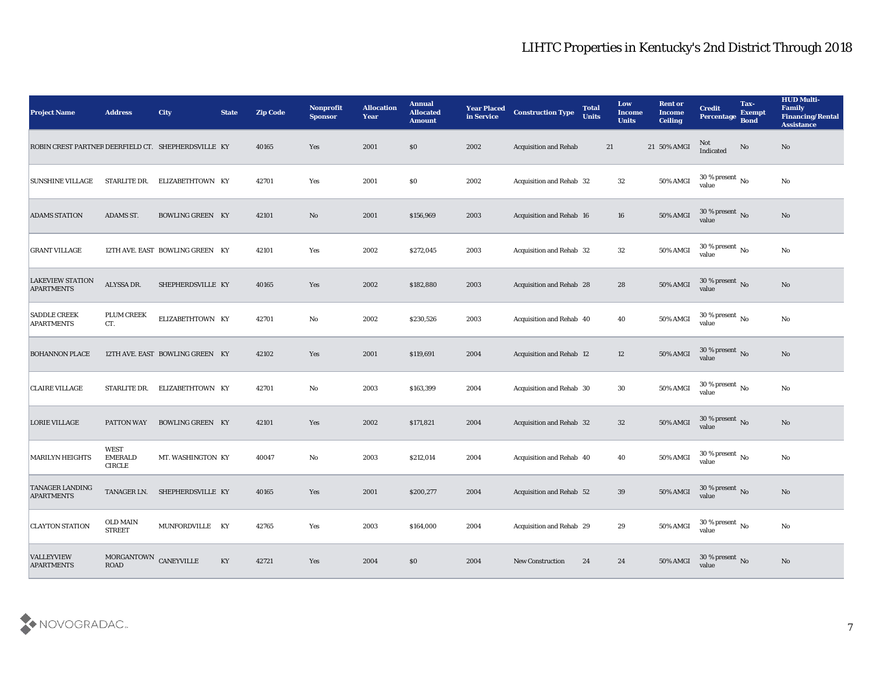| <b>Project Name</b>                                 | <b>Address</b>                                 | <b>City</b>                     | <b>State</b>           | <b>Zip Code</b> | <b>Nonprofit</b><br><b>Sponsor</b> | <b>Allocation</b><br><b>Year</b> | <b>Annual</b><br><b>Allocated</b><br><b>Amount</b> | <b>Year Placed</b><br>in Service | <b>Construction Type</b>        | <b>Total</b><br><b>Units</b> | Low<br><b>Income</b><br><b>Units</b> | <b>Rent or</b><br><b>Income</b><br><b>Ceiling</b> | <b>Credit</b><br>Percentage Bond       | Tax-<br><b>Exempt</b> | <b>HUD Multi-</b><br>Family<br><b>Financing/Rental</b><br><b>Assistance</b> |
|-----------------------------------------------------|------------------------------------------------|---------------------------------|------------------------|-----------------|------------------------------------|----------------------------------|----------------------------------------------------|----------------------------------|---------------------------------|------------------------------|--------------------------------------|---------------------------------------------------|----------------------------------------|-----------------------|-----------------------------------------------------------------------------|
| ROBIN CREST PARTNER DEERFIELD CT. SHEPHERDSVILLE KY |                                                |                                 |                        | 40165           | Yes                                | 2001                             | \$0                                                | 2002                             | <b>Acquisition and Rehab</b>    | 21                           |                                      | 21 50% AMGI                                       | Not<br>Indicated                       | No                    | No                                                                          |
| <b>SUNSHINE VILLAGE</b>                             | STARLITE DR.                                   | ELIZABETHTOWN KY                |                        | 42701           | Yes                                | 2001                             | \$0                                                | 2002                             | Acquisition and Rehab 32        |                              | 32                                   | 50% AMGI                                          | 30 % present $\overline{N_0}$<br>value |                       | No                                                                          |
| <b>ADAMS STATION</b>                                | ADAMS ST.                                      | <b>BOWLING GREEN KY</b>         |                        | 42101           | No                                 | 2001                             | \$156,969                                          | 2003                             | Acquisition and Rehab 16        |                              | 16                                   | <b>50% AMGI</b>                                   | $30\,\%$ present $\,$ No value         |                       | No                                                                          |
| <b>GRANT VILLAGE</b>                                |                                                | 12TH AVE. EAST BOWLING GREEN KY |                        | 42101           | Yes                                | 2002                             | \$272,045                                          | 2003                             | Acquisition and Rehab 32        |                              | 32                                   | 50% AMGI                                          | $30\,\%$ present $\,$ No value         |                       | $\mathbf{N}\mathbf{o}$                                                      |
| <b>LAKEVIEW STATION</b><br><b>APARTMENTS</b>        | ALYSSA DR.                                     | SHEPHERDSVILLE KY               |                        | 40165           | Yes                                | 2002                             | \$182,880                                          | 2003                             | Acquisition and Rehab 28        |                              | 28                                   | <b>50% AMGI</b>                                   | $30\,\%$ present $\,$ No value         |                       | No                                                                          |
| <b>SADDLE CREEK</b><br><b>APARTMENTS</b>            | <b>PLUM CREEK</b><br>CT.                       | ELIZABETHTOWN KY                |                        | 42701           | $\mathbf{No}$                      | 2002                             | \$230,526                                          | 2003                             | Acquisition and Rehab 40        |                              | 40                                   | $50\%$ AMGI                                       | 30 % present $\,$ No $\,$<br>value     |                       | No                                                                          |
| <b>BOHANNON PLACE</b>                               |                                                | 12TH AVE. EAST BOWLING GREEN KY |                        | 42102           | Yes                                | 2001                             | \$119,691                                          | 2004                             | <b>Acquisition and Rehab 12</b> |                              | 12                                   | $50\%$ AMGI                                       | $30\,\%$ present $\,$ No value         |                       | No                                                                          |
| <b>CLAIRE VILLAGE</b>                               | STARLITE DR.                                   | ELIZABETHTOWN KY                |                        | 42701           | No                                 | 2003                             | \$163,399                                          | 2004                             | Acquisition and Rehab 30        |                              | 30                                   | 50% AMGI                                          | 30 % present $\,$ No $\,$<br>value     |                       | $\mathbf{N}\mathbf{o}$                                                      |
| <b>LORIE VILLAGE</b>                                | PATTON WAY                                     | <b>BOWLING GREEN KY</b>         |                        | 42101           | Yes                                | 2002                             | \$171,821                                          | 2004                             | Acquisition and Rehab 32        |                              | 32                                   | 50% AMGI                                          | $30\,\%$ present $\,$ No value         |                       | No                                                                          |
| <b>MARILYN HEIGHTS</b>                              | <b>WEST</b><br><b>EMERALD</b><br><b>CIRCLE</b> | MT. WASHINGTON KY               |                        | 40047           | No                                 | 2003                             | \$212,014                                          | 2004                             | Acquisition and Rehab 40        |                              | 40                                   | <b>50% AMGI</b>                                   | 30 % present $\,$ No $\,$<br>value     |                       | No                                                                          |
| <b>TANAGER LANDING</b><br><b>APARTMENTS</b>         |                                                | TANAGER LN. SHEPHERDSVILLE KY   |                        | 40165           | Yes                                | 2001                             | \$200,277                                          | 2004                             | Acquisition and Rehab 52        |                              | 39                                   | 50% AMGI                                          | 30 % present No<br>value               |                       | No                                                                          |
| <b>CLAYTON STATION</b>                              | $\rm OLD$ MAIN<br><b>STREET</b>                | MUNFORDVILLE KY                 |                        | 42765           | Yes                                | 2003                             | \$164,000                                          | 2004                             | Acquisition and Rehab 29        |                              | 29                                   | <b>50% AMGI</b>                                   | $30\,\%$ present $\,$ No value         |                       | $\mathbf{N}\mathbf{o}$                                                      |
| <b>VALLEYVIEW</b><br><b>APARTMENTS</b>              | MORGANTOWN CANEYVILLE                          |                                 | $\mathbf{K}\mathbf{Y}$ | 42721           | Yes                                | 2004                             | $\$0$                                              | 2004                             | New Construction                | 24                           | 24                                   | 50% AMGI                                          | $30\,\%$ present $\,$ No value         |                       | No                                                                          |

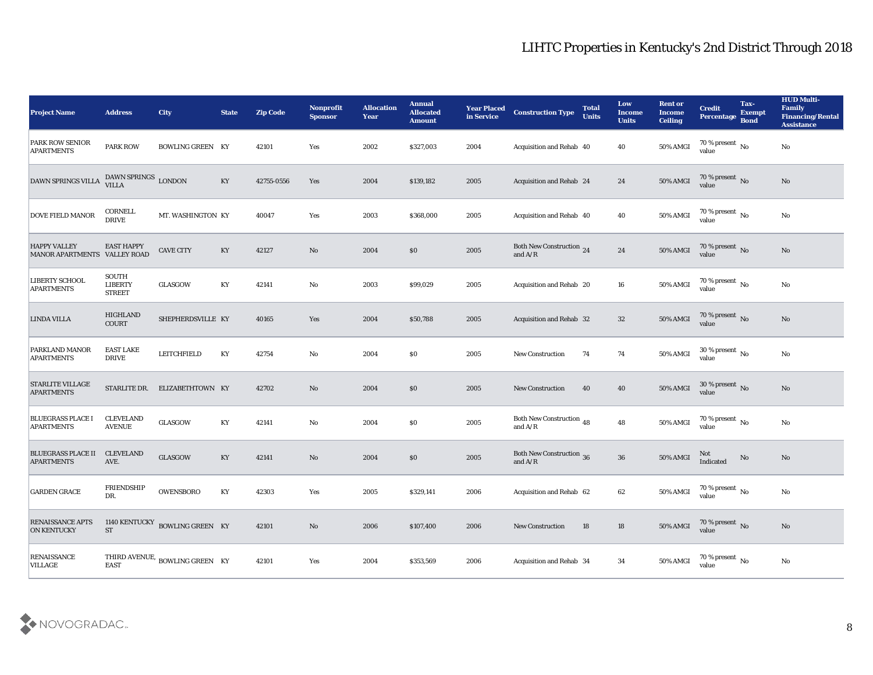| <b>Project Name</b>                                 | <b>Address</b>                           | <b>City</b>                         | <b>State</b> | <b>Zip Code</b> | Nonprofit<br><b>Sponsor</b> | <b>Allocation</b><br><b>Year</b> | <b>Annual</b><br><b>Allocated</b><br><b>Amount</b> | <b>Year Placed</b><br>in Service | <b>Construction Type</b>                                                          | <b>Total</b><br><b>Units</b> | Low<br><b>Income</b><br><b>Units</b> | <b>Rent or</b><br><b>Income</b><br><b>Ceiling</b> | <b>Credit</b><br>Percentage Bond       | Tax-<br><b>Exempt</b> | <b>HUD Multi-</b><br>Family<br><b>Financing/Rental</b><br><b>Assistance</b> |
|-----------------------------------------------------|------------------------------------------|-------------------------------------|--------------|-----------------|-----------------------------|----------------------------------|----------------------------------------------------|----------------------------------|-----------------------------------------------------------------------------------|------------------------------|--------------------------------------|---------------------------------------------------|----------------------------------------|-----------------------|-----------------------------------------------------------------------------|
| PARK ROW SENIOR<br><b>APARTMENTS</b>                | <b>PARK ROW</b>                          | <b>BOWLING GREEN KY</b>             |              | 42101           | Yes                         | 2002                             | \$327,003                                          | 2004                             | Acquisition and Rehab 40                                                          |                              | 40                                   | 50% AMGI                                          | 70 % present $\overline{N_0}$<br>value |                       | No                                                                          |
| DAWN SPRINGS VILLA                                  | DAWN SPRINGS LONDON<br>VILLA             |                                     | KY           | 42755-0556      | Yes                         | 2004                             | \$139,182                                          | 2005                             | Acquisition and Rehab 24                                                          |                              | 24                                   | 50% AMGI                                          | $70\,\%$ present $\,$ No value         |                       | No                                                                          |
| <b>DOVE FIELD MANOR</b>                             | CORNELL<br><b>DRIVE</b>                  | MT. WASHINGTON KY                   |              | 40047           | Yes                         | 2003                             | \$368,000                                          | 2005                             | Acquisition and Rehab 40                                                          |                              | 40                                   | 50% AMGI                                          | 70 % present $\,$ No $\,$<br>value     |                       | $\rm\thinspace No$                                                          |
| <b>HAPPY VALLEY</b><br>MANOR APARTMENTS VALLEY ROAD | <b>EAST HAPPY</b>                        | <b>CAVE CITY</b>                    | KY           | 42127           | No                          | 2004                             | $\$0$                                              | 2005                             | Both New Construction 24<br>and $\ensuremath{\mathrm{A}}/\ensuremath{\mathrm{R}}$ |                              | 24                                   | 50% AMGI                                          | $70\,\%$ present $\,$ No value         |                       | No                                                                          |
| LIBERTY SCHOOL<br><b>APARTMENTS</b>                 | SOUTH<br><b>LIBERTY</b><br><b>STREET</b> | GLASGOW                             | KY           | 42141           | No                          | 2003                             | \$99,029                                           | 2005                             | Acquisition and Rehab 20                                                          |                              | 16                                   | 50% AMGI                                          | 70 % present $\,$ No $\,$<br>value     |                       | No                                                                          |
| <b>LINDA VILLA</b>                                  | <b>HIGHLAND</b><br>COURT                 | SHEPHERDSVILLE KY                   |              | 40165           | Yes                         | 2004                             | \$50,788                                           | 2005                             | Acquisition and Rehab 32                                                          |                              | 32                                   | 50% AMGI                                          | $70\,\%$ present $\,$ No value         |                       | No                                                                          |
| PARKLAND MANOR<br><b>APARTMENTS</b>                 | <b>EAST LAKE</b><br><b>DRIVE</b>         | LEITCHFIELD                         | KY           | 42754           | No                          | 2004                             | $\$0$                                              | 2005                             | <b>New Construction</b>                                                           | 74                           | 74                                   | <b>50% AMGI</b>                                   | $30\,\%$ present $\,$ No value         |                       | No                                                                          |
| <b>STARLITE VILLAGE</b><br><b>APARTMENTS</b>        |                                          | STARLITE DR. ELIZABETHTOWN KY       |              | 42702           | No                          | 2004                             | \$0                                                | 2005                             | <b>New Construction</b>                                                           | 40                           | 40                                   | <b>50% AMGI</b>                                   | 30 % present $\bar{N}$ o<br>value      |                       | No                                                                          |
| <b>BLUEGRASS PLACE I</b><br><b>APARTMENTS</b>       | <b>CLEVELAND</b><br><b>AVENUE</b>        | <b>GLASGOW</b>                      | KY           | 42141           | $\rm\thinspace No$          | 2004                             | $\$0$                                              | 2005                             | Both New Construction 48<br>and $A/R$                                             |                              | 48                                   | 50% AMGI                                          | 70 % present $\,$ No $\,$<br>value     |                       | $\rm\thinspace No$                                                          |
| <b>BLUEGRASS PLACE II</b><br><b>APARTMENTS</b>      | <b>CLEVELAND</b><br>AVE.                 | GLASGOW                             | KY           | 42141           | No                          | 2004                             | $\$0$                                              | 2005                             | <b>Both New Construction 36</b><br>and $A/R$                                      |                              | 36                                   | 50% AMGI                                          | Not<br>Indicated                       | No                    | No                                                                          |
| <b>GARDEN GRACE</b>                                 | <b>FRIENDSHIP</b><br>DR.                 | <b>OWENSBORO</b>                    | KY           | 42303           | Yes                         | 2005                             | \$329,141                                          | 2006                             | Acquisition and Rehab 62                                                          |                              | 62                                   | 50% AMGI                                          | 70 % present $\,$ No $\,$<br>value     |                       | No                                                                          |
| <b>RENAISSANCE APTS</b><br><b>ON KENTUCKY</b>       | <b>ST</b>                                | 1140 KENTUCKY BOWLING GREEN KY      |              | 42101           | $\mathbf {No}$              | 2006                             | \$107,400                                          | 2006                             | <b>New Construction</b>                                                           | 18                           | 18                                   | <b>50% AMGI</b>                                   | $70$ % present $\,$ No $\,$ value      |                       | $\mathbf{N}\mathbf{o}$                                                      |
| <b>RENAISSANCE</b><br><b>VILLAGE</b>                | <b>EAST</b>                              | THIRD AVENUE, BOWLING GREEN $\,$ KY |              | 42101           | $\mathbf{Yes}$              | 2004                             | \$353,569                                          | 2006                             | Acquisition and Rehab 34                                                          |                              | 34                                   | 50% AMGI                                          | 70 % present $\,$ No $\,$<br>value     |                       | $\rm\thinspace No$                                                          |

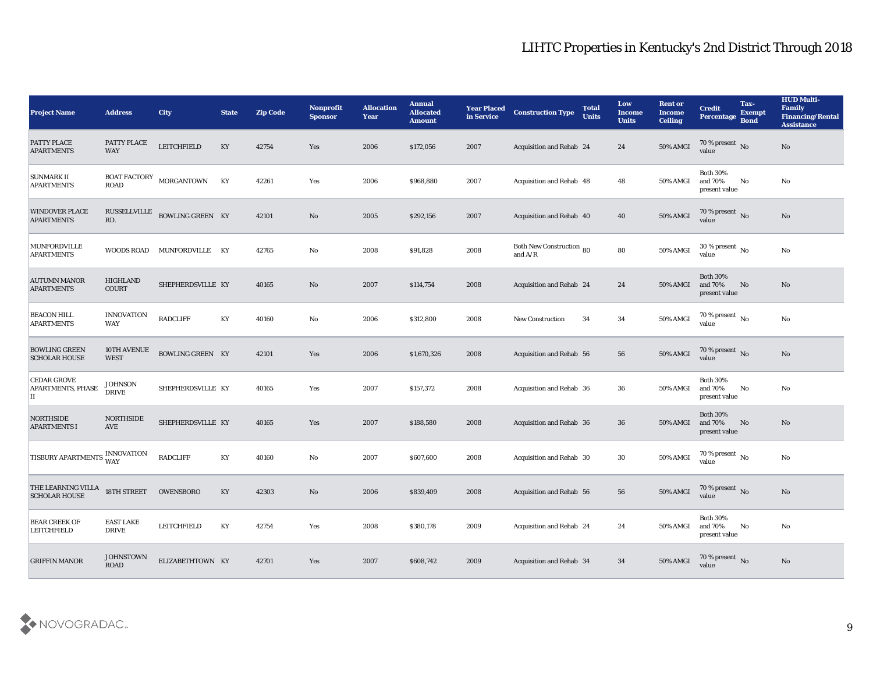| <b>Project Name</b>                                                                                                                       | <b>Address</b>                   | <b>City</b>                | <b>State</b> | <b>Zip Code</b> | <b>Nonprofit</b><br><b>Sponsor</b> | <b>Allocation</b><br><b>Year</b> | <b>Annual</b><br><b>Allocated</b><br><b>Amount</b> | <b>Year Placed</b><br>in Service | <b>Construction Type</b>              | <b>Total</b><br><b>Units</b> | Low<br><b>Income</b><br><b>Units</b> | <b>Rent or</b><br><b>Income</b><br><b>Ceiling</b> | <b>Credit</b><br>Percentage Bond               | Tax-<br><b>Exempt</b> | <b>HUD Multi-</b><br>Family<br><b>Financing/Rental</b><br><b>Assistance</b> |
|-------------------------------------------------------------------------------------------------------------------------------------------|----------------------------------|----------------------------|--------------|-----------------|------------------------------------|----------------------------------|----------------------------------------------------|----------------------------------|---------------------------------------|------------------------------|--------------------------------------|---------------------------------------------------|------------------------------------------------|-----------------------|-----------------------------------------------------------------------------|
| <b>PATTY PLACE</b><br><b>APARTMENTS</b>                                                                                                   | PATTY PLACE<br><b>WAY</b>        | <b>LEITCHFIELD</b>         | KY           | 42754           | Yes                                | 2006                             | \$172,056                                          | 2007                             | Acquisition and Rehab 24              |                              | 24                                   | 50% AMGI                                          | $\frac{70\%}{\text{value}}$ No                 |                       | No                                                                          |
| <b>SUNMARK II</b><br><b>APARTMENTS</b>                                                                                                    | <b>ROAD</b>                      | BOAT FACTORY MORGANTOWN KY |              | 42261           | Yes                                | 2006                             | \$968,880                                          | 2007                             | Acquisition and Rehab 48              |                              | 48                                   | 50% AMGI                                          | <b>Both 30%</b><br>and 70%<br>present value    | No                    | No                                                                          |
| <b>WINDOVER PLACE</b><br><b>APARTMENTS</b>                                                                                                | RUSSELLVILLE<br>RD.              | BOWLING GREEN KY           |              | 42101           | No                                 | 2005                             | \$292,156                                          | 2007                             | Acquisition and Rehab 40              |                              | 40                                   | 50% AMGI                                          | $70\%$ present No<br>value                     |                       | No                                                                          |
| MUNFORDVILLE<br><b>APARTMENTS</b>                                                                                                         | WOODS ROAD                       | MUNFORDVILLE KY            |              | 42765           | No                                 | 2008                             | \$91,828                                           | 2008                             | Both New Construction 80<br>and $A/R$ |                              | 80                                   | 50% AMGI                                          | $30\,\%$ present $\,$ No value                 |                       | No                                                                          |
| <b>AUTUMN MANOR</b><br><b>APARTMENTS</b>                                                                                                  | <b>HIGHLAND</b><br><b>COURT</b>  | SHEPHERDSVILLE KY          |              | 40165           | No                                 | 2007                             | \$114,754                                          | 2008                             | <b>Acquisition and Rehab 24</b>       |                              | 24                                   | <b>50% AMGI</b>                                   | <b>Both 30%</b><br>and 70%<br>present value    | No                    | No                                                                          |
| <b>BEACON HILL</b><br><b>APARTMENTS</b>                                                                                                   | <b>INNOVATION</b><br><b>WAY</b>  | <b>RADCLIFF</b>            | KY           | 40160           | No                                 | 2006                             | \$312,800                                          | 2008                             | <b>New Construction</b>               | 34                           | 34                                   | 50% AMGI                                          | 70 % present $\,$ No $\,$<br>value             |                       | No                                                                          |
| <b>BOWLING GREEN</b><br><b>SCHOLAR HOUSE</b>                                                                                              | 10TH AVENUE<br><b>WEST</b>       | BOWLING GREEN KY           |              | 42101           | Yes                                | 2006                             | \$1,670,326                                        | 2008                             | Acquisition and Rehab 56              |                              | 56                                   | 50% AMGI                                          | $70\,\%$ present $\,$ No value                 |                       | No                                                                          |
| <b>CEDAR GROVE</b><br><b>APARTMENTS, PHASE</b><br>II                                                                                      | <b>JOHNSON</b><br><b>DRIVE</b>   | SHEPHERDSVILLE KY          |              | 40165           | Yes                                | 2007                             | \$157,372                                          | 2008                             | Acquisition and Rehab 36              |                              | 36                                   | 50% AMGI                                          | <b>Both 30%</b><br>and 70%<br>present value    | No                    | No                                                                          |
| NORTHSIDE<br><b>APARTMENTS I</b>                                                                                                          | <b>NORTHSIDE</b><br>AVE          | SHEPHERDSVILLE KY          |              | 40165           | Yes                                | 2007                             | \$188,580                                          | 2008                             | Acquisition and Rehab 36              |                              | 36                                   | 50% AMGI                                          | <b>Both 30%</b><br>and 70%<br>present value    | No                    | No                                                                          |
| $\begin{array}{ l } \hline \texttt{TISBURY APARTMENTS} & \textbf{INNOVATION} \\ \hline \texttt{WAY} & \textbf{WAY} \\ \hline \end{array}$ |                                  | <b>RADCLIFF</b>            | KY           | 40160           | No                                 | 2007                             | \$607,600                                          | 2008                             | Acquisition and Rehab 30              |                              | 30                                   | 50% AMGI                                          | 70 % present $\,$ No $\,$<br>value             |                       | No                                                                          |
| THE LEARNING VILLA<br><b>SCHOLAR HOUSE</b>                                                                                                | 18TH STREET                      | <b>OWENSBORO</b>           | KY           | 42303           | No                                 | 2006                             | \$839,409                                          | 2008                             | Acquisition and Rehab 56              |                              | 56                                   | <b>50% AMGI</b>                                   | 70 % present No<br>value                       |                       | No                                                                          |
| <b>BEAR CREEK OF</b><br><b>LEITCHFIELD</b>                                                                                                | <b>EAST LAKE</b><br><b>DRIVE</b> | LEITCHFIELD                | KY           | 42754           | Yes                                | 2008                             | \$380,178                                          | 2009                             | Acquisition and Rehab 24              |                              | 24                                   | <b>50% AMGI</b>                                   | <b>Both 30%</b><br>and $70\%$<br>present value | No                    | $\mathbf{N}\mathbf{o}$                                                      |
| <b>GRIFFIN MANOR</b>                                                                                                                      | <b>JOHNSTOWN</b>                 | ELIZABETHTOWN KY           |              | 42701           | $\mathbf{Yes}$                     | 2007                             | \$608,742                                          | 2009                             | Acquisition and Rehab 34              |                              | 34                                   | 50% AMGI                                          | 70 % present No<br>value                       |                       | No                                                                          |

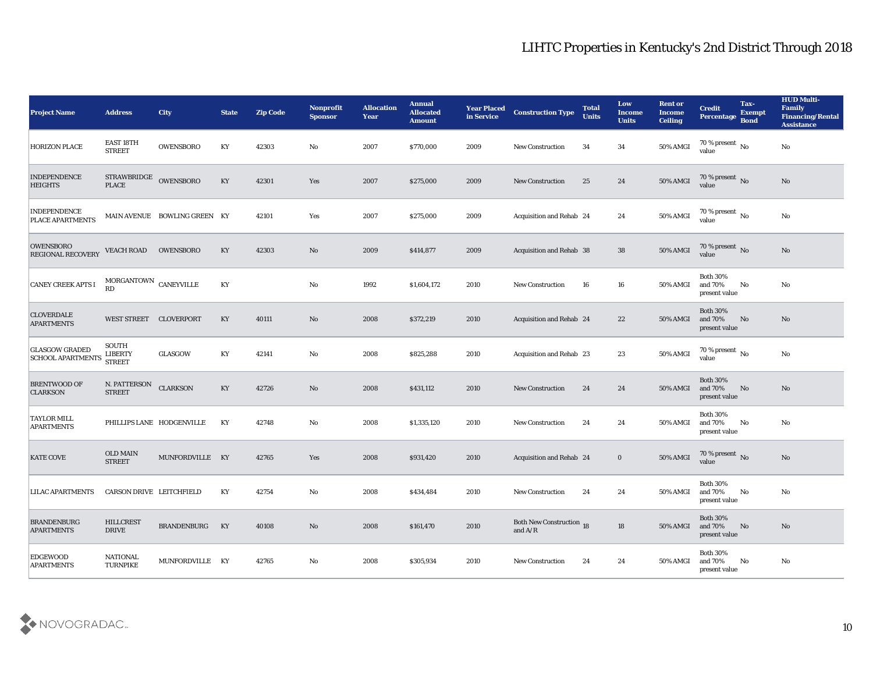| <b>Project Name</b>                               | <b>Address</b>                                    | <b>City</b>                  | <b>State</b> | <b>Zip Code</b> | Nonprofit<br><b>Sponsor</b> | <b>Allocation</b><br><b>Year</b> | <b>Annual</b><br><b>Allocated</b><br><b>Amount</b> | <b>Year Placed</b><br>in Service | <b>Construction Type</b>                         | <b>Total</b><br><b>Units</b> | Low<br><b>Income</b><br><b>Units</b> | <b>Rent or</b><br><b>Income</b><br><b>Ceiling</b> | <b>Credit</b><br>Percentage                    | Tax-<br><b>Exempt</b><br><b>Bond</b> | <b>HUD Multi-</b><br>Family<br><b>Financing/Rental</b><br><b>Assistance</b> |
|---------------------------------------------------|---------------------------------------------------|------------------------------|--------------|-----------------|-----------------------------|----------------------------------|----------------------------------------------------|----------------------------------|--------------------------------------------------|------------------------------|--------------------------------------|---------------------------------------------------|------------------------------------------------|--------------------------------------|-----------------------------------------------------------------------------|
| <b>HORIZON PLACE</b>                              | EAST 18TH<br><b>STREET</b>                        | OWENSBORO                    | KY           | 42303           | No                          | 2007                             | \$770,000                                          | 2009                             | <b>New Construction</b>                          | 34                           | 34                                   | 50% AMGI                                          | 70 % present $\overline{N_0}$<br>value         |                                      | No                                                                          |
| <b>INDEPENDENCE</b><br><b>HEIGHTS</b>             | STRAWBRIDGE OWENSBORO<br><b>PLACE</b>             |                              | KY           | 42301           | Yes                         | 2007                             | \$275,000                                          | 2009                             | <b>New Construction</b>                          | 25                           | 24                                   | <b>50% AMGI</b>                                   | $70\,\%$ present $\,$ No value                 |                                      | No                                                                          |
| <b>INDEPENDENCE</b><br>PLACE APARTMENTS           |                                                   | MAIN AVENUE BOWLING GREEN KY |              | 42101           | Yes                         | 2007                             | \$275,000                                          | 2009                             | <b>Acquisition and Rehab 24</b>                  |                              | 24                                   | 50% AMGI                                          | 70 % present $\,$ No $\,$<br>value             |                                      | No                                                                          |
| <b>OWENSBORO</b><br><b>REGIONAL RECOVERY</b>      | <b>VEACH ROAD</b>                                 | <b>OWENSBORO</b>             | KY           | 42303           | No                          | 2009                             | \$414,877                                          | 2009                             | <b>Acquisition and Rehab 38</b>                  |                              | 38                                   | <b>50% AMGI</b>                                   | $70\,\%$ present $\,$ No value                 |                                      | No                                                                          |
| <b>CANEY CREEK APTS I</b>                         | $\textsc{MORGANTOWN}$ $\textsc{CANEYVILLE}$<br>RD |                              | KY           |                 | No                          | 1992                             | \$1,604,172                                        | 2010                             | New Construction                                 | 16                           | 16                                   | 50% AMGI                                          | <b>Both 30%</b><br>and 70%<br>present value    | No                                   | No                                                                          |
| <b>CLOVERDALE</b><br><b>APARTMENTS</b>            | WEST STREET CLOVERPORT                            |                              | KY           | 40111           | No                          | 2008                             | \$372,219                                          | 2010                             | <b>Acquisition and Rehab 24</b>                  |                              | 22                                   | 50% AMGI                                          | <b>Both 30%</b><br>and 70%<br>present value    | No                                   | No                                                                          |
| <b>GLASGOW GRADED</b><br><b>SCHOOL APARTMENTS</b> | SOUTH<br><b>LIBERTY</b><br><b>STREET</b>          | GLASGOW                      | KY           | 42141           | No                          | 2008                             | \$825,288                                          | 2010                             | Acquisition and Rehab 23                         |                              | 23                                   | 50% AMGI                                          | 70 % present $\overline{N_0}$<br>value         |                                      | No                                                                          |
| <b>BRENTWOOD OF</b><br><b>CLARKSON</b>            | N. PATTERSON<br><b>STREET</b>                     | <b>CLARKSON</b>              | KY           | 42726           | No                          | 2008                             | \$431,112                                          | 2010                             | <b>New Construction</b>                          | 24                           | 24                                   | <b>50% AMGI</b>                                   | <b>Both 30%</b><br>and 70%<br>present value    | No                                   | No                                                                          |
| <b>TAYLOR MILL</b><br><b>APARTMENTS</b>           |                                                   | PHILLIPS LANE HODGENVILLE    | KY           | 42748           | No                          | 2008                             | \$1,335,120                                        | 2010                             | <b>New Construction</b>                          | 24                           | 24                                   | 50% AMGI                                          | <b>Both 30%</b><br>and 70%<br>present value    | No                                   | No                                                                          |
| <b>KATE COVE</b>                                  | <b>OLD MAIN</b><br><b>STREET</b>                  | MUNFORDVILLE KY              |              | 42765           | Yes                         | 2008                             | \$931,420                                          | 2010                             | <b>Acquisition and Rehab 24</b>                  |                              | $\bf{0}$                             | <b>50% AMGI</b>                                   | 70 % present No<br>value                       |                                      | No                                                                          |
| <b>LILAC APARTMENTS</b>                           | CARSON DRIVE LEITCHFIELD                          |                              | KY           | 42754           | No                          | 2008                             | \$434,484                                          | 2010                             | <b>New Construction</b>                          | 24                           | 24                                   | 50% AMGI                                          | <b>Both 30%</b><br>and 70%<br>present value    | No                                   | No                                                                          |
| <b>BRANDENBURG</b><br><b>APARTMENTS</b>           | <b>HILLCREST</b><br><b>DRIVE</b>                  | BRANDENBURG KY               |              | 40108           | $\mathbf {No}$              | 2008                             | \$161,470                                          | 2010                             | <b>Both New Construction 18</b><br>and $\rm A/R$ |                              | 18                                   | 50% AMGI                                          | <b>Both 30%</b><br>and 70% No<br>present value |                                      | $\mathbf{N}\mathbf{o}$                                                      |
| <b>EDGEWOOD</b><br><b>APARTMENTS</b>              | <b>NATIONAL</b><br><b>TURNPIKE</b>                | MUNFORDVILLE KY              |              | 42765           | $\mathbf {No}$              | 2008                             | \$305,934                                          | 2010                             | New Construction                                 | 24                           | 24                                   | <b>50% AMGI</b>                                   | <b>Both 30%</b><br>and 70%<br>present value    | $\mathbf{N}\mathbf{o}$               | $\rm\thinspace No$                                                          |

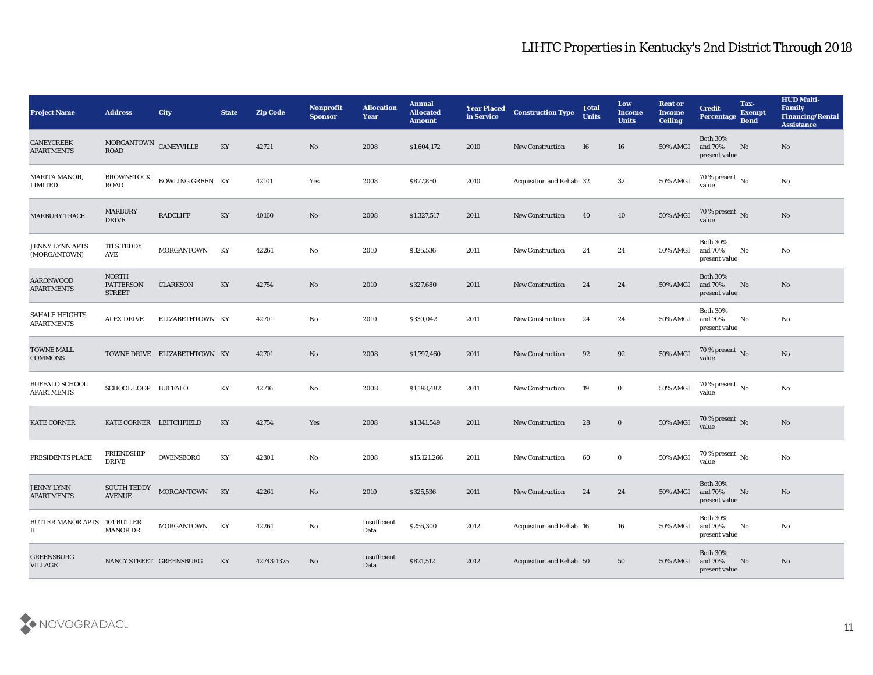| <b>Project Name</b>                        | <b>Address</b>                                    | City                         | <b>State</b> | <b>Zip Code</b> | Nonprofit<br><b>Sponsor</b> | <b>Allocation</b><br><b>Year</b> | <b>Annual</b><br><b>Allocated</b><br><b>Amount</b> | <b>Year Placed</b><br>in Service | <b>Construction Type</b> | <b>Total</b><br><b>Units</b> | Low<br><b>Income</b><br><b>Units</b> | <b>Rent or</b><br><b>Income</b><br><b>Ceiling</b> | <b>Credit</b><br>Percentage Bond               | Tax-<br><b>Exempt</b> | <b>HUD Multi-</b><br>Family<br><b>Financing/Rental</b><br><b>Assistance</b> |
|--------------------------------------------|---------------------------------------------------|------------------------------|--------------|-----------------|-----------------------------|----------------------------------|----------------------------------------------------|----------------------------------|--------------------------|------------------------------|--------------------------------------|---------------------------------------------------|------------------------------------------------|-----------------------|-----------------------------------------------------------------------------|
| <b>CANEYCREEK</b><br><b>APARTMENTS</b>     | MORGANTOWN CANEYVILLE<br><b>ROAD</b>              |                              | KY           | 42721           | No                          | 2008                             | \$1,604,172                                        | 2010                             | <b>New Construction</b>  | 16                           | 16                                   | 50% AMGI                                          | <b>Both 30%</b><br>and 70%<br>present value    | <b>No</b>             | No                                                                          |
| MARITA MANOR,<br><b>LIMITED</b>            | <b>BROWNSTOCK</b><br><b>ROAD</b>                  | <b>BOWLING GREEN KY</b>      |              | 42101           | Yes                         | 2008                             | \$877,850                                          | 2010                             | Acquisition and Rehab 32 |                              | 32                                   | 50% AMGI                                          | 70 % present $\,$ No $\,$<br>value             |                       | No                                                                          |
| <b>MARBURY TRACE</b>                       | <b>MARBURY</b><br><b>DRIVE</b>                    | <b>RADCLIFF</b>              | KY           | 40160           | No                          | 2008                             | \$1,327,517                                        | 2011                             | <b>New Construction</b>  | 40                           | 40                                   | 50% AMGI                                          | 70 % present No<br>value                       |                       | No                                                                          |
| JENNY LYNN APTS<br>(MORGANTOWN)            | 111 S TEDDY<br><b>AVE</b>                         | <b>MORGANTOWN</b>            | KY           | 42261           | No                          | 2010                             | \$325,536                                          | 2011                             | <b>New Construction</b>  | 24                           | 24                                   | 50% AMGI                                          | <b>Both 30%</b><br>and 70%<br>present value    | No                    | No                                                                          |
| AARONWOOD<br><b>APARTMENTS</b>             | <b>NORTH</b><br><b>PATTERSON</b><br><b>STREET</b> | <b>CLARKSON</b>              | KY           | 42754           | No                          | 2010                             | \$327,680                                          | 2011                             | <b>New Construction</b>  | 24                           | 24                                   | <b>50% AMGI</b>                                   | <b>Both 30%</b><br>and 70%<br>present value    | No                    | No                                                                          |
| <b>SAHALE HEIGHTS</b><br><b>APARTMENTS</b> | <b>ALEX DRIVE</b>                                 | ELIZABETHTOWN KY             |              | 42701           | No                          | 2010                             | \$330,042                                          | 2011                             | <b>New Construction</b>  | 24                           | 24                                   | 50% AMGI                                          | <b>Both 30%</b><br>and 70%<br>present value    | No                    | No                                                                          |
| <b>TOWNE MALL</b><br><b>COMMONS</b>        |                                                   | TOWNE DRIVE ELIZABETHTOWN KY |              | 42701           | No                          | 2008                             | \$1,797,460                                        | 2011                             | <b>New Construction</b>  | 92                           | 92                                   | 50% AMGI                                          | $\frac{70\%}{value}$ No                        |                       | No                                                                          |
| <b>BUFFALO SCHOOL</b><br><b>APARTMENTS</b> | SCHOOL LOOP BUFFALO                               |                              | KY           | 42716           | No                          | 2008                             | \$1,198,482                                        | 2011                             | <b>New Construction</b>  | 19                           | $\bf{0}$                             | <b>50% AMGI</b>                                   | 70 % present $\,$ No $\,$<br>value             |                       | No                                                                          |
| <b>KATE CORNER</b>                         | KATE CORNER LEITCHFIELD                           |                              | KY           | 42754           | Yes                         | 2008                             | \$1,341,549                                        | 2011                             | <b>New Construction</b>  | 28                           | $\bf{0}$                             | 50% AMGI                                          | $70\,\%$ present $\,$ No value                 |                       | No                                                                          |
| PRESIDENTS PLACE                           | <b>FRIENDSHIP</b><br><b>DRIVE</b>                 | OWENSBORO                    | KY           | 42301           | No                          | 2008                             | \$15,121,266                                       | 2011                             | <b>New Construction</b>  | 60                           | $\bf{0}$                             | 50% AMGI                                          | $70\,\%$ present $\,$ No value                 |                       | No                                                                          |
| <b>JENNY LYNN</b><br><b>APARTMENTS</b>     | <b>SOUTH TEDDY</b><br><b>AVENUE</b>               | <b>MORGANTOWN</b>            | KY           | 42261           | No                          | 2010                             | \$325,536                                          | 2011                             | <b>New Construction</b>  | 24                           | 24                                   | 50% AMGI and 70%                                  | <b>Both 30%</b><br>present value               | No                    | No                                                                          |
| BUTLER MANOR APTS 101 BUTLER<br>$\rm II$   | $\operatorname{MANOR}$ DR                         | MORGANTOWN KY                |              | 42261           | ${\bf No}$                  | $\bold{Insufficient}$<br>Data    | \$256,300                                          | 2012                             | Acquisition and Rehab 16 |                              | 16                                   | 50% AMGI                                          | <b>Both 30%</b><br>and $70\%$<br>present value | No                    | $\mathbf{N}\mathbf{o}$                                                      |
| <b>GREENSBURG</b><br><b>VILLAGE</b>        | NANCY STREET GREENSBURG                           |                              | KY           | 42743-1375      | No                          | Insufficient<br>Data             | \$821,512                                          | 2012                             | Acquisition and Rehab 50 |                              | 50                                   | 50% AMGI                                          | <b>Both 30%</b><br>and 70%<br>present value    | No                    | $\mathbf{N}\mathbf{o}$                                                      |